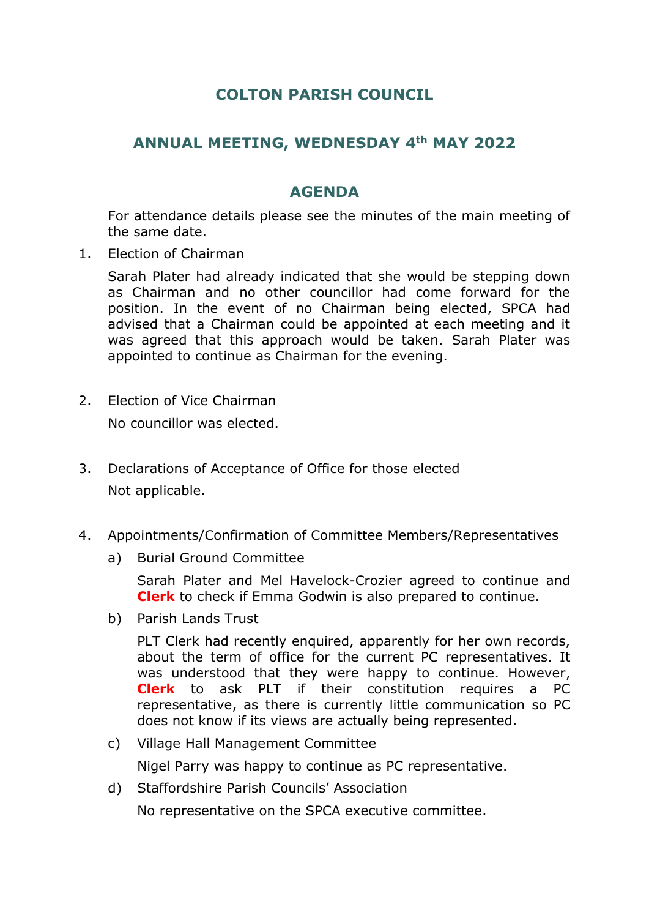## **COLTON PARISH COUNCIL**

## **ANNUAL MEETING, WEDNESDAY 4th MAY 2022**

## **AGENDA**

For attendance details please see the minutes of the main meeting of the same date.

1. Election of Chairman

Sarah Plater had already indicated that she would be stepping down as Chairman and no other councillor had come forward for the position. In the event of no Chairman being elected, SPCA had advised that a Chairman could be appointed at each meeting and it was agreed that this approach would be taken. Sarah Plater was appointed to continue as Chairman for the evening.

2. Election of Vice Chairman

No councillor was elected.

- 3. Declarations of Acceptance of Office for those elected Not applicable.
- 4. Appointments/Confirmation of Committee Members/Representatives
	- a) Burial Ground Committee

Sarah Plater and Mel Havelock-Crozier agreed to continue and **Clerk** to check if Emma Godwin is also prepared to continue.

b) Parish Lands Trust

PLT Clerk had recently enquired, apparently for her own records, about the term of office for the current PC representatives. It was understood that they were happy to continue. However, **Clerk** to ask PLT if their constitution requires a PC representative, as there is currently little communication so PC does not know if its views are actually being represented.

c) Village Hall Management Committee

Nigel Parry was happy to continue as PC representative.

d) Staffordshire Parish Councils' Association

No representative on the SPCA executive committee.